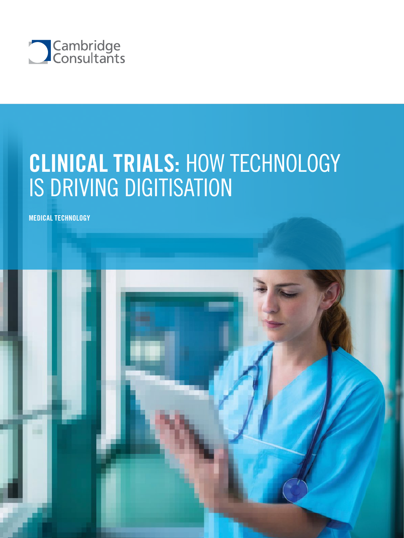

# CLINICAL TRIALS: HOW TECHNOLOGY IS DRIVING DIGITISATION

MEDICAL TECHNOLOGY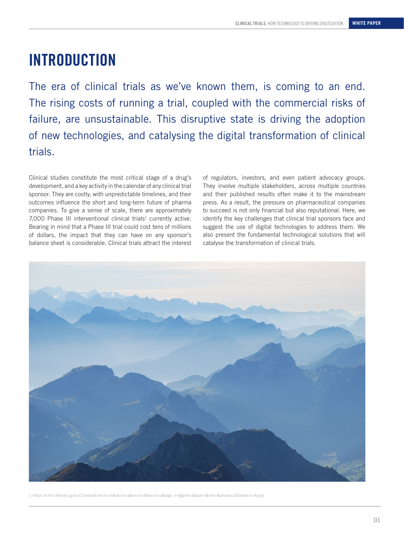### INTRODUCTION

The era of clinical trials as we've known them, is coming to an end. The rising costs of running a trial, coupled with the commercial risks of failure, are unsustainable. This disruptive state is driving the adoption of new technologies, and catalysing the digital transformation of clinical trials.

Clinical studies constitute the most critical stage of a drug's development, and a key activity in the calendar of any clinical trial sponsor. They are costly, with unpredictable timelines, and their outcomes influence the short and long-term future of pharma companies. To give a sense of scale, there are approximately  $7,000$  Phase III interventional clinical trials<sup>1</sup> currently active. Bearing in mind that a Phase III trial could cost tens of millions of dollars, the impact that they can have on any sponsor's balance sheet is considerable. Clinical trials attract the interest

of regulators, investors, and even patient advocacy groups. They involve multiple stakeholders, across multiple countries and their published results often make it to the mainstream press. As a result, the pressure on pharmaceutical companies to succeed is not only financial but also reputational. Here, we identify the key challenges that clinical trial sponsors face and suggest the use of digital technologies to address them. We also present the fundamental technological solutions that will catalyse the transformation of clinical trials.



1 https://clinicaltrials.gov/ct2/results?recrs=b&recrs=a&recrs=f&recrs=d&age\_v=&gndr=&type=&rslt=&phase=2&Search=Apply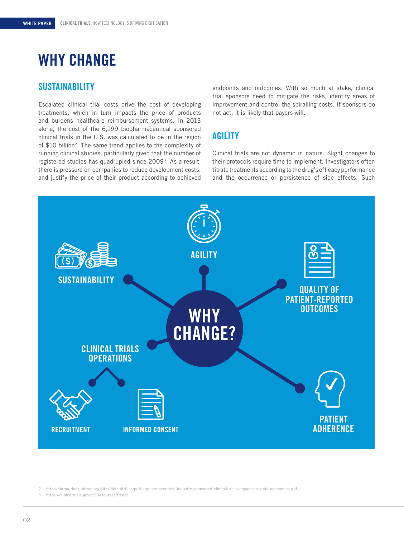## WHY CHANGE

### **SUSTAINABILITY**

Escalated clinical trial costs drive the cost of developing treatments, which in turn impacts the price of products and burdens healthcare reimbursement systems. In 2013 alone, the cost of the 6,199 biopharmaceutical sponsored clinical trials in the U.S. was calculated to be in the region of \$10 billion<sup>2</sup>. The same trend applies to the complexity of running clinical studies, particularly given that the number of registered studies has quadrupled since 20093. As a result, there is pressure on companies to reduce development costs, and justify the price of their product according to achieved endpoints and outcomes. With so much at stake, clinical trial sponsors need to mitigate the risks, identify areas of improvement and control the spiralling costs. If sponsors do not act, it is likely that payers will.

### AGILITY

Clinical trials are not dynamic in nature. Slight changes to their protocols require time to implement. Investigators often titrate treatments according to the drug's efficacy performance and the occurrence or persistence of side effects. Such



2 http://phrma-docs.phrma.org/sites/default/files/pdf/biopharmaceutical-industry-sponsored-clinical-trials-impact-on-state-economies.pdf

3 https://clinicaltrials.gov/ct2/resources/trends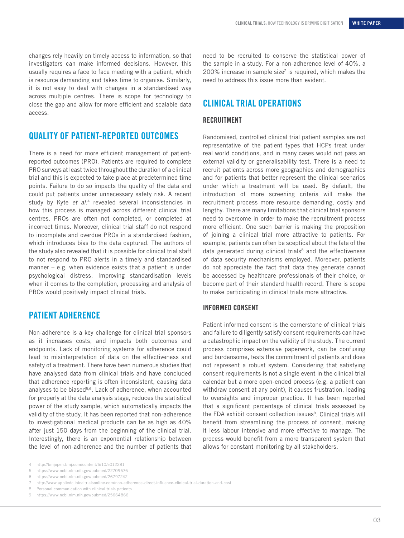changes rely heavily on timely access to information, so that investigators can make informed decisions. However, this usually requires a face to face meeting with a patient, which is resource demanding and takes time to organise. Similarly, it is not easy to deal with changes in a standardised way across multiple centres. There is scope for technology to close the gap and allow for more efficient and scalable data access.

### QUALITY OF PATIENT-REPORTED OUTCOMES

There is a need for more efficient management of patientreported outcomes (PRO). Patients are required to complete PRO surveys at least twice throughout the duration of a clinical trial and this is expected to take place at predetermined time points. Failure to do so impacts the quality of the data and could put patients under unnecessary safety risk. A recent study by Kyte *et al*. 4 revealed several inconsistencies in how this process is managed across different clinical trial centres. PROs are often not completed, or completed at incorrect times. Moreover, clinical trial staff do not respond to incomplete and overdue PROs in a standardised fashion, which introduces bias to the data captured. The authors of the study also revealed that it is possible for clinical trial staff to not respond to PRO alerts in a timely and standardised manner – e.g. when evidence exists that a patient is under psychological distress. Improving standardisation levels when it comes to the completion, processing and analysis of PROs would positively impact clinical trials.

### PATIENT ADHERENCE

Non-adherence is a key challenge for clinical trial sponsors as it increases costs, and impacts both outcomes and endpoints. Lack of monitoring systems for adherence could lead to misinterpretation of data on the effectiveness and safety of a treatment. There have been numerous studies that have analysed data from clinical trials and have concluded that adherence reporting is often inconsistent, causing data analyses to be biased<sup>5,6</sup>. Lack of adherence, when accounted for properly at the data analysis stage, reduces the statistical power of the study sample, which automatically impacts the validity of the study. It has been reported that non-adherence to investigational medical products can be as high as 40% after just 150 days from the beginning of the clinical trial. Interestingly, there is an exponential relationship between the level of non-adherence and the number of patients that need to be recruited to conserve the statistical power of the sample in a study. For a non-adherence level of 40%, a 200% increase in sample size<sup> $7$ </sup> is required, which makes the need to address this issue more than evident.

### CLINICAL TRIAL OPERATIONS

#### RECRUITMENT

Randomised, controlled clinical trial patient samples are not representative of the patient types that HCPs treat under real world conditions, and in many cases would not pass an external validity or generalisability test. There is a need to recruit patients across more geographies and demographics and for patients that better represent the clinical scenarios under which a treatment will be used. By default, the introduction of more screening criteria will make the recruitment process more resource demanding, costly and lengthy. There are many limitations that clinical trial sponsors need to overcome in order to make the recruitment process more efficient. One such barrier is making the proposition of joining a clinical trial more attractive to patients. For example, patients can often be sceptical about the fate of the data generated during clinical trials<sup>8</sup> and the effectiveness of data security mechanisms employed. Moreover, patients do not appreciate the fact that data they generate cannot be accessed by healthcare professionals of their choice, or become part of their standard health record. There is scope to make participating in clinical trials more attractive.

#### INFORMED CONSENT

Patient informed consent is the cornerstone of clinical trials and failure to diligently satisfy consent requirements can have a catastrophic impact on the validity of the study. The current process comprises extensive paperwork, can be confusing and burdensome, tests the commitment of patients and does not represent a robust system. Considering that satisfying consent requirements is not a single event in the clinical trial calendar but a more open-ended process (e.g. a patient can withdraw consent at any point), it causes frustration, leading to oversights and improper practice. It has been reported that a significant percentage of clinical trials assessed by the FDA exhibit consent collection issues<sup>9</sup>. Clinical trials will benefit from streamlining the process of consent, making it less labour intensive and more effective to manage. The process would benefit from a more transparent system that allows for constant monitoring by all stakeholders.

<sup>4</sup> http://bmjopen.bmj.com/content/6/10/e012281

<sup>5</sup> https://www.ncbi.nlm.nih.gov/pubmed/22709676

<sup>6</sup> https://www.ncbi.nlm.nih.gov/pubmed/26797242

<sup>7</sup> http://www.appliedclinicaltrialsonline.com/non-adherence-direct-influence-clinical-trial-duration-and-cost

<sup>8</sup> Personal communication with clinical trials patients

<sup>9</sup> https://www.ncbi.nlm.nih.gov/pubmed/25664866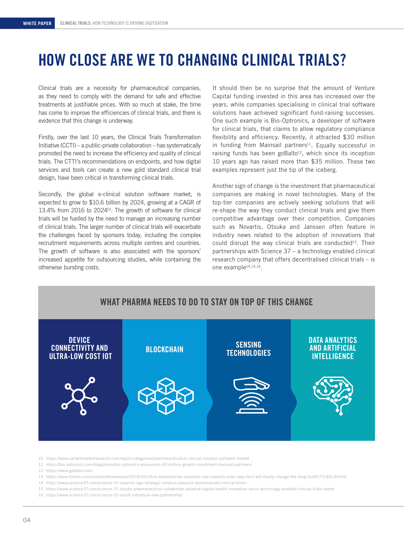### HOW CLOSE ARE WE TO CHANGING CLINICAL TRIALS?

Clinical trials are a necessity for pharmaceutical companies, as they need to comply with the demand for safe and effective treatments at justifiable prices. With so much at stake, the time has come to improve the efficiencies of clinical trials, and there is evidence that this change is underway.

Firstly, over the last 10 years, the Clinical Trials Transformation Initiative (CCTI) – a public-private collaboration – has systematically promoted the need to increase the efficiency and quality of clinical trials. The CTTI's recommendations on endpoints, and how digital services and tools can create a new gold standard clinical trial design, have been critical in transforming clinical trials.

Secondly, the global e-clinical solution software market, is expected to grow to \$10.6 billion by 2024, growing at a CAGR of 13.4% from 2016 to 2024<sup>10</sup>. The growth of software for clinical trials will be fuelled by the need to manage an increasing number of clinical trials. The larger number of clinical trials will exacerbate the challenges faced by sponsors today, including the complex recruitment requirements across multiple centres and countries. The growth of software is also associated with the sponsors' increased appetite for outsourcing studies, while containing the otherwise bursting costs.

It should then be no surprise that the amount of Venture Capital funding invested in this area has increased over the years, while companies specialising in clinical trial software solutions have achieved significant fund-raising successes. One such example is Bio-Optronics, a developer of software for clinical trials, that claims to allow regulatory compliance flexibility and efficiency. Recently, it attracted \$30 million in funding from Mainsail partners<sup>11</sup>. Equally successful in raising funds has been goBalto $12$ , which since its inception 10 years ago has raised more than \$35 million. These two examples represent just the tip of the iceberg.

Another sign of change is the investment that pharmaceutical companies are making in novel technologies. Many of the top-tier companies are actively seeking solutions that will re-shape the way they conduct clinical trials and give them competitive advantage over their competition. Companies such as Novartis, Otsuka and Janssen often feature in industry news related to the adoption of innovations that could disrupt the way clinical trials are conducted<sup>13</sup>. Their partnerships with Science 37 – a technology enabled clinical research company that offers decentralised clinical trials – is one example14,15,16.

#### WHAT PHARMA NEEDS TO DO TO STAY ON TOP OF THIS CHANGE



- 10 https://www.variantmarketresearch.com/report-categories/pharmaceuticals/e-clinical-solution-software-market
- 11 https://bio-optronics.com/blog/press/bio-optronics-announces-30-million-growth-investment-mainsail-partners/
- 12 https://www.gobalto.com/
- 13 https://www.forbes.com/sites/matthewherper/2018/03/26/ai-telemedicine-quantum-new-novartis-boss-says-tech-will-finally-change-the-drug-biz/#172c83c36b54
- 14 https://www.science37.com/science-37-novartis-sign-strategic-alliance-advance-decentralized-clinical-trials/
- 15 https://www.science37.com/science-37-otsuka-pharmaceutical-collaborate-advance-digital-health-innovation-focus-technology-enabled-clinical-trials-home/
- 16 https://www.science37.com/science-37-sanofi-introduce-new-partnership/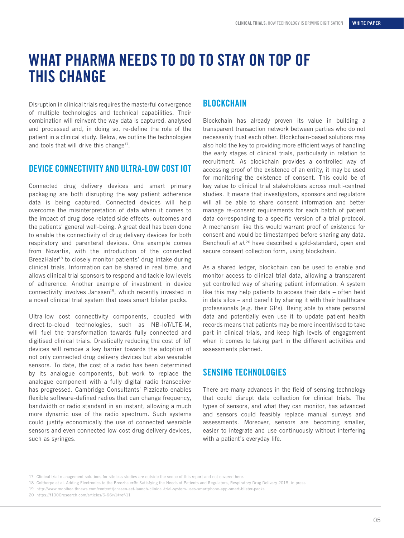### WHAT PHARMA NEEDS TO DO TO STAY ON TOP OF THIS CHANGE

Disruption in clinical trials requires the masterful convergence of multiple technologies and technical capabilities. Their combination will reinvent the way data is captured, analysed and processed and, in doing so, re-define the role of the patient in a clinical study. Below, we outline the technologies and tools that will drive this change<sup>17</sup>.

### DEVICE CONNECTIVITY AND ULTRA-LOW COST IOT

Connected drug delivery devices and smart primary packaging are both disrupting the way patient adherence data is being captured. Connected devices will help overcome the misinterpretation of data when it comes to the impact of drug dose related side effects, outcomes and the patients' general well-being. A great deal has been done to enable the connectivity of drug delivery devices for both respiratory and parenteral devices. One example comes from Novartis, with the introduction of the connected BreezHaler<sup>18</sup> to closely monitor patients' drug intake during clinical trials. Information can be shared in real time, and allows clinical trial sponsors to respond and tackle low levels of adherence. Another example of investment in device connectivity involves Janssen<sup>19</sup>, which recently invested in a novel clinical trial system that uses smart blister packs.

Ultra-low cost connectivity components, coupled with direct-to-cloud technologies, such as NB-IoT/LTE-M, will fuel the transformation towards fully connected and digitised clinical trials. Drastically reducing the cost of IoT devices will remove a key barrier towards the adoption of not only connected drug delivery devices but also wearable sensors. To date, the cost of a radio has been determined by its analogue components, but work to replace the analogue component with a fully digital radio transceiver has progressed. Cambridge Consultants' Pizzicato enables flexible software-defined radios that can change frequency, bandwidth or radio standard in an instant, allowing a much more dynamic use of the radio spectrum. Such systems could justify economically the use of connected wearable sensors and even connected low-cost drug delivery devices, such as syringes.

#### **BLOCKCHAIN**

Blockchain has already proven its value in building a transparent transaction network between parties who do not necessarily trust each other. Blockchain-based solutions may also hold the key to providing more efficient ways of handling the early stages of clinical trials, particularly in relation to recruitment. As blockchain provides a controlled way of accessing proof of the existence of an entity, it may be used for monitoring the existence of consent. This could be of key value to clinical trial stakeholders across multi-centred studies. It means that investigators, sponsors and regulators will all be able to share consent information and better manage re-consent requirements for each batch of patient data corresponding to a specific version of a trial protocol. A mechanism like this would warrant proof of existence for consent and would be timestamped before sharing any data. Benchoufi *et al*. 20 have described a gold-standard, open and secure consent collection form, using blockchain.

As a shared ledger, blockchain can be used to enable and monitor access to clinical trial data, allowing a transparent yet controlled way of sharing patient information. A system like this may help patients to access their data – often held in data silos – and benefit by sharing it with their healthcare professionals (e.g. their GPs). Being able to share personal data and potentially even use it to update patient health records means that patients may be more incentivised to take part in clinical trials, and keep high levels of engagement when it comes to taking part in the different activities and assessments planned.

### SENSING TECHNOLOGIES

There are many advances in the field of sensing technology that could disrupt data collection for clinical trials. The types of sensors, and what they can monitor, has advanced and sensors could feasibly replace manual surveys and assessments. Moreover, sensors are becoming smaller, easier to integrate and use continuously without interfering with a patient's everyday life.

18 Colthorpe et al. Adding Electronics to the Breezhaler®: Satisfying the Needs of Patients and Regulators, Respiratory Drug Delivery 2018, in press

<sup>17</sup> Clinical trial management solutions for siteless studies are outside the scope of this report and not covered here.

<sup>19</sup> http://www.mobihealthnews.com/content/janssen-set-launch-clinical-trial-system-uses-smartphone-app-smart-blister-packs

<sup>20</sup> https://f1000research.com/articles/6-66/v1#ref-11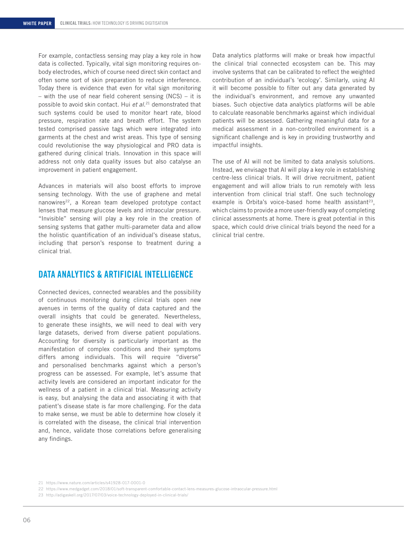For example, contactless sensing may play a key role in how data is collected. Typically, vital sign monitoring requires onbody electrodes, which of course need direct skin contact and often some sort of skin preparation to reduce interference. Today there is evidence that even for vital sign monitoring – with the use of near field coherent sensing (NCS) – it is possible to avoid skin contact. Hui *et al*. 21 demonstrated that such systems could be used to monitor heart rate, blood pressure, respiration rate and breath effort. The system tested comprised passive tags which were integrated into garments at the chest and wrist areas. This type of sensing could revolutionise the way physiological and PRO data is gathered during clinical trials. Innovation in this space will address not only data quality issues but also catalyse an improvement in patient engagement.

Advances in materials will also boost efforts to improve sensing technology. With the use of graphene and metal nanowires<sup>22</sup>, a Korean team developed prototype contact lenses that measure glucose levels and intraocular pressure. "Invisible" sensing will play a key role in the creation of sensing systems that gather multi-parameter data and allow the holistic quantification of an individual's disease status, including that person's response to treatment during a clinical trial.

### DATA ANALYTICS & ARTIFICIAL INTELLIGENCE

Connected devices, connected wearables and the possibility of continuous monitoring during clinical trials open new avenues in terms of the quality of data captured and the overall insights that could be generated. Nevertheless, to generate these insights, we will need to deal with very large datasets, derived from diverse patient populations. Accounting for diversity is particularly important as the manifestation of complex conditions and their symptoms differs among individuals. This will require "diverse" and personalised benchmarks against which a person's progress can be assessed. For example, let's assume that activity levels are considered an important indicator for the wellness of a patient in a clinical trial. Measuring activity is easy, but analysing the data and associating it with that patient's disease state is far more challenging. For the data to make sense, we must be able to determine how closely it is correlated with the disease, the clinical trial intervention and, hence, validate those correlations before generalising any findings.

Data analytics platforms will make or break how impactful the clinical trial connected ecosystem can be. This may involve systems that can be calibrated to reflect the weighted contribution of an individual's 'ecology'. Similarly, using AI it will become possible to filter out any data generated by the individual's environment, and remove any unwanted biases. Such objective data analytics platforms will be able to calculate reasonable benchmarks against which individual patients will be assessed. Gathering meaningful data for a medical assessment in a non-controlled environment is a significant challenge and is key in providing trustworthy and impactful insights.

The use of AI will not be limited to data analysis solutions. Instead, we envisage that AI will play a key role in establishing centre-less clinical trials. It will drive recruitment, patient engagement and will allow trials to run remotely with less intervention from clinical trial staff. One such technology example is Orbita's voice-based home health assistant<sup>23</sup>, which claims to provide a more user-friendly way of completing clinical assessments at home. There is great potential in this space, which could drive clinical trials beyond the need for a clinical trial centre.

<sup>21</sup> https://www.nature.com/articles/s41928-017-0001-0

<sup>22</sup> https://www.medgadget.com/2018/01/soft-transparent-comfortable-contact-lens-measures-glucose-intraocular-pressure.html

<sup>23</sup> http://adigaskell.org/2017/07/03/voice-technology-deployed-in-clinical-trials/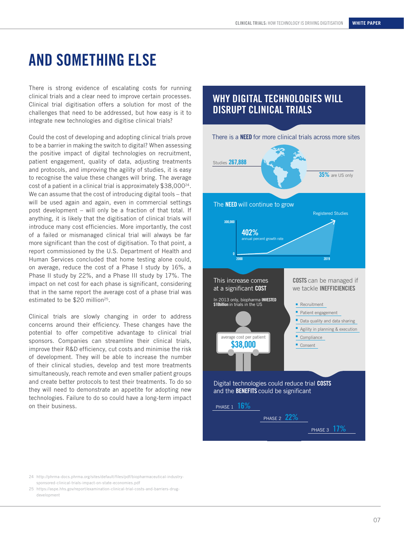### AND SOMETHING ELSE

There is strong evidence of escalating costs for running clinical trials and a clear need to improve certain processes. Clinical trial digitisation offers a solution for most of the challenges that need to be addressed, but how easy is it to integrate new technologies and digitise clinical trials?

Could the cost of developing and adopting clinical trials prove to be a barrier in making the switch to digital? When assessing the positive impact of digital technologies on recruitment, patient engagement, quality of data, adjusting treatments and protocols, and improving the agility of studies, it is easy to recognise the value these changes will bring. The average cost of a patient in a clinical trial is approximately \$38,00024. We can assume that the cost of introducing digital tools – that will be used again and again, even in commercial settings post development – will only be a fraction of that total. If anything, it is likely that the digitisation of clinical trials will introduce many cost efficiencies. More importantly, the cost of a failed or mismanaged clinical trial will always be far more significant than the cost of digitisation. To that point, a report commissioned by the U.S. Department of Health and Human Services concluded that home testing alone could, on average, reduce the cost of a Phase I study by 16%, a Phase II study by 22%, and a Phase III study by 17%. The impact on net cost for each phase is significant, considering that in the same report the average cost of a phase trial was estimated to be \$20 million<sup>25</sup>.

Clinical trials are slowly changing in order to address concerns around their efficiency. These changes have the potential to offer competitive advantage to clinical trial sponsors. Companies can streamline their clinical trials, improve their R&D efficiency, cut costs and minimise the risk of development. They will be able to increase the number of their clinical studies, develop and test more treatments simultaneously, reach remote and even smaller patient groups and create better protocols to test their treatments. To do so they will need to demonstrate an appetite for adopting new technologies. Failure to do so could have a long-term impact on their business.

### WHY DIGITAL TECHNOLOGIES WILL DISRUPT CLINICAL TRIALS



24 http://phrma-docs.phrma.org/sites/default/files/pdf/biopharmaceutical-industrysponsored-clinical-trials-impact-on-state-economies.pdf

<sup>25</sup> https://aspe.hhs.gov/report/examination-clinical-trial-costs-and-barriers-drugdevelopment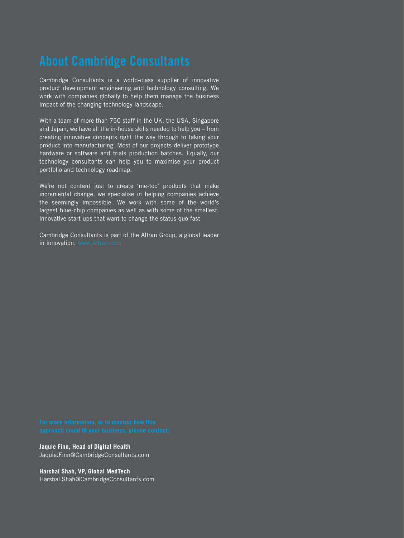Cambridge Consultants is a world-class supplier of innovative product development engineering and technology consulting. We work with companies globally to help them manage the business impact of the changing technology landscape.

With a team of more than 750 staff in the UK, the USA, Singapore and Japan, we have all the in-house skills needed to help you – from creating innovative concepts right the way through to taking your product into manufacturing. Most of our projects deliver prototype hardware or software and trials production batches. Equally, our technology consultants can help you to maximise your product portfolio and technology roadmap.

We're not content just to create 'me-too' products that make incremental change; we specialise in helping companies achieve the seemingly impossible. We work with some of the world's largest blue-chip companies as well as with some of the smallest, innovative start-ups that want to change the status quo fast.

Cambridge Consultants is part of the Altran Group, a global leader in innovation. [www.Altran.com](http://www.Altran.com)

**Jaquie Finn, Head of Digital Health** Jaquie.Finn@CambridgeConsultants.com

**Harshal Shah, VP, Global MedTech** Harshal.Shah@CambridgeConsultants.com